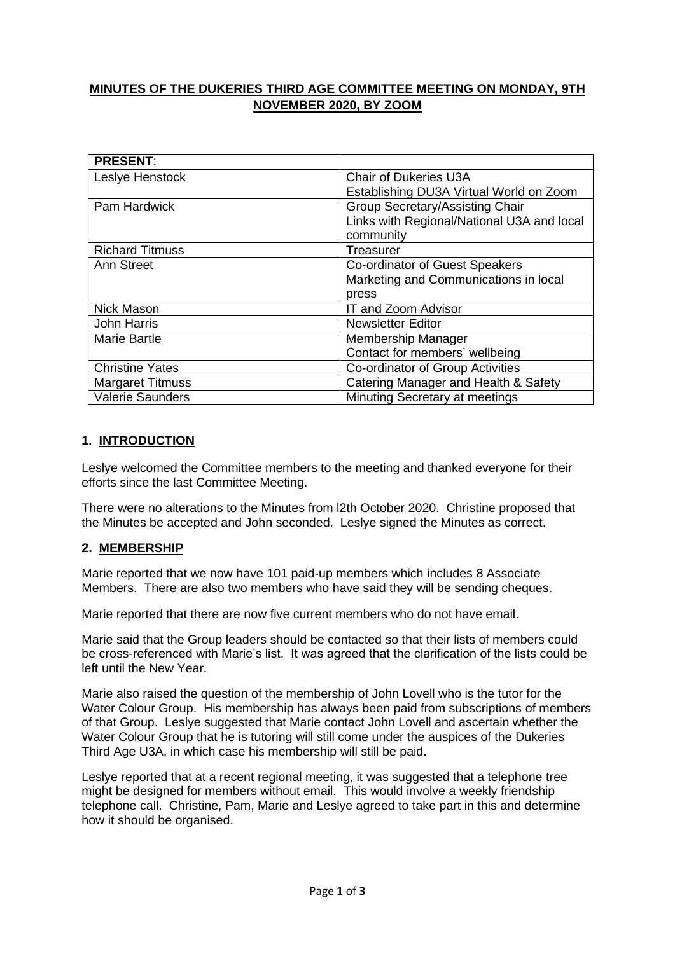# **MINUTES OF THE DUKERIES THIRD AGE COMMITTEE MEETING ON MONDAY, 9TH NOVEMBER 2020, BY ZOOM**

| <b>PRESENT:</b>         |                                            |
|-------------------------|--------------------------------------------|
| Leslye Henstock         | Chair of Dukeries U3A                      |
|                         | Establishing DU3A Virtual World on Zoom    |
| Pam Hardwick            | <b>Group Secretary/Assisting Chair</b>     |
|                         | Links with Regional/National U3A and local |
|                         | community                                  |
| <b>Richard Titmuss</b>  | Treasurer                                  |
| Ann Street              | Co-ordinator of Guest Speakers             |
|                         | Marketing and Communications in local      |
|                         | press                                      |
| Nick Mason              | <b>IT and Zoom Advisor</b>                 |
| <b>John Harris</b>      | <b>Newsletter Editor</b>                   |
| <b>Marie Bartle</b>     | Membership Manager                         |
|                         | Contact for members' wellbeing             |
| <b>Christine Yates</b>  | Co-ordinator of Group Activities           |
| <b>Margaret Titmuss</b> | Catering Manager and Health & Safety       |
| <b>Valerie Saunders</b> | Minuting Secretary at meetings             |

### **1. INTRODUCTION**

Leslye welcomed the Committee members to the meeting and thanked everyone for their efforts since the last Committee Meeting.

There were no alterations to the Minutes from l2th October 2020. Christine proposed that the Minutes be accepted and John seconded. Leslye signed the Minutes as correct.

#### **2. MEMBERSHIP**

Marie reported that we now have 101 paid-up members which includes 8 Associate Members. There are also two members who have said they will be sending cheques.

Marie reported that there are now five current members who do not have email.

Marie said that the Group leaders should be contacted so that their lists of members could be cross-referenced with Marie's list. It was agreed that the clarification of the lists could be left until the New Year.

Marie also raised the question of the membership of John Lovell who is the tutor for the Water Colour Group. His membership has always been paid from subscriptions of members of that Group. Leslye suggested that Marie contact John Lovell and ascertain whether the Water Colour Group that he is tutoring will still come under the auspices of the Dukeries Third Age U3A, in which case his membership will still be paid.

Leslye reported that at a recent regional meeting, it was suggested that a telephone tree might be designed for members without email. This would involve a weekly friendship telephone call. Christine, Pam, Marie and Leslye agreed to take part in this and determine how it should be organised.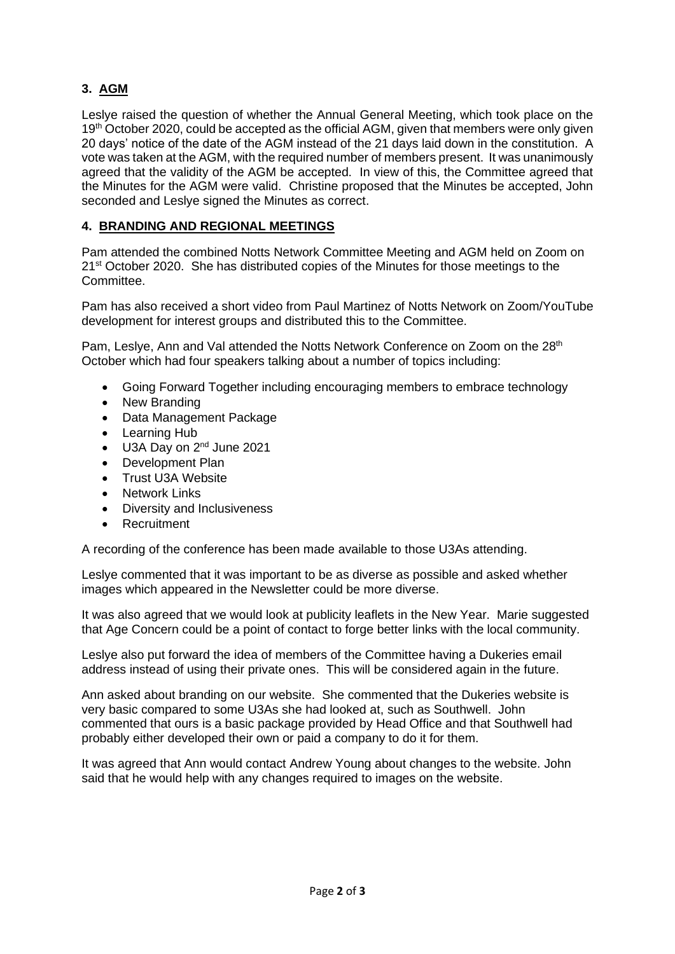# **3. AGM**

Leslye raised the question of whether the Annual General Meeting, which took place on the 19<sup>th</sup> October 2020, could be accepted as the official AGM, given that members were only given 20 days' notice of the date of the AGM instead of the 21 days laid down in the constitution. A vote was taken at the AGM, with the required number of members present. It was unanimously agreed that the validity of the AGM be accepted. In view of this, the Committee agreed that the Minutes for the AGM were valid. Christine proposed that the Minutes be accepted, John seconded and Leslye signed the Minutes as correct.

## **4. BRANDING AND REGIONAL MEETINGS**

Pam attended the combined Notts Network Committee Meeting and AGM held on Zoom on 21<sup>st</sup> October 2020. She has distributed copies of the Minutes for those meetings to the Committee.

Pam has also received a short video from Paul Martinez of Notts Network on Zoom/YouTube development for interest groups and distributed this to the Committee.

Pam, Leslye, Ann and Val attended the Notts Network Conference on Zoom on the 28<sup>th</sup> October which had four speakers talking about a number of topics including:

- Going Forward Together including encouraging members to embrace technology
- New Branding
- Data Management Package
- Learning Hub
- U3A Day on 2<sup>nd</sup> June 2021
- Development Plan
- Trust U3A Website
- Network Links
- Diversity and Inclusiveness
- **Recruitment**

A recording of the conference has been made available to those U3As attending.

Leslye commented that it was important to be as diverse as possible and asked whether images which appeared in the Newsletter could be more diverse.

It was also agreed that we would look at publicity leaflets in the New Year. Marie suggested that Age Concern could be a point of contact to forge better links with the local community.

Leslye also put forward the idea of members of the Committee having a Dukeries email address instead of using their private ones. This will be considered again in the future.

Ann asked about branding on our website. She commented that the Dukeries website is very basic compared to some U3As she had looked at, such as Southwell. John commented that ours is a basic package provided by Head Office and that Southwell had probably either developed their own or paid a company to do it for them.

It was agreed that Ann would contact Andrew Young about changes to the website. John said that he would help with any changes required to images on the website.